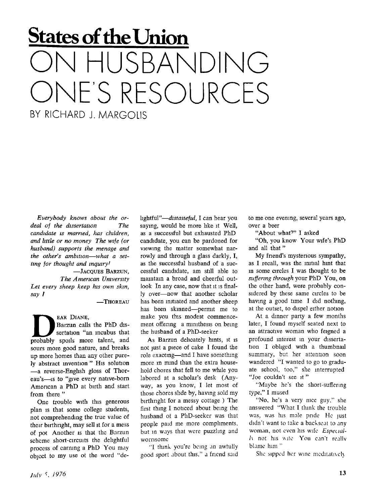## **States of the Union**  IUSBANDING ONE'S RESOURCES BY RICHARD J. MARGOLIS

*Everybody knows about the ordeal of the dissertation The candidate is married, has children, and little or no money The wife (or husband) supports the menage and the other's ambition—what a setting for thought and inquiry'* 

-JACOUES BARZUN. *The American University Let every sheep keep his own skin, say I* 

## -THOREAU

EAR DIANE, Barzun calls the PhD dissertation "an incubus that probably spoils more talent, and sours more good nature, and breaks up more homes than any other purely abstract invention " His solution -a reverse-English gloss of Thoreau's—is to "give every native-born American a PhD at birth and start from there "

One trouble with this generous plan is that some college students, not comprehending the true value of their birthright, may sell it for a mess of pot Another is that the Barzun scheme short-circuits the delightful process of carning a PhD You may object to my use of the word "delightful"-*distasteful*, I can hear you saying, would be more like it Well. as a successful but exhausted PhD candidate, you can be pardoned for viewing the matter somewhat narrowly and through a glass darkly, I, as the successful husband of a successful candidate, am still able to maintain a broad and cheerful outlook In any case, now that it is finally over—now that another scholar has been initiated and another sheep has been skinned—permit me to make you this modest commencement offering a minithesis on being the husband of a PhD-seeker

As Barzun delicately hints, it is not just a piece of cake I found the role exacting—and I have something more in mind than the extra household chores that fell to me while you labored at a scholar's desk (Anyway, as you know, I let most of those chores slide by, having sold my birthright for a messy cottage ) The first thing I noticed about being the husband of a PhD-seeker was that people paid me more compliments, but in ways that were puzzling and worrisome

"I think you're being an awfully good sport about this," a friend said

to me one evening, several years ago, over a beer

"About what?" I asked

"Oh, you know Your wife's PhD and all that"

My friend's mysterious sympathy, as I recall, was the initial hint that in some circles I was thought to be *suffering through* your PhD You, on the other hand, were probably considered by these same circles to be having a good time I did nothing. at the outset, to dispel either notion

At a dinner party a few months later, I found myself seated next to an attractive woman who feigned a profound interest in your dissertation I obliged with a thumbnail summary, but her attention soon wandered "I wanted to go to graduate school, too," she interrupted "Joe couldn't see it"

"Maybe he's the short-suffering type," I mused

"No, he's a very nice guy," she answered "What I think the trouble was, was his male pride He just didn't want to take a backseat to any woman, not even his wife *Especialh* not his wife You can't really blame him "

She sipped her wine meditatively